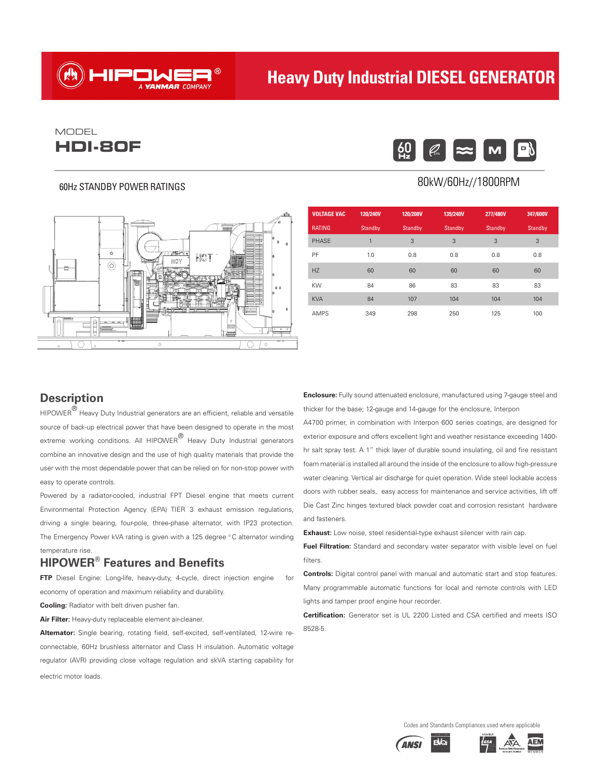# **Heavy Duty Industrial DIESEL GENERATOR**

## **HDI-80F**  $\left[\begin{smallmatrix} 60 \ 92 \end{smallmatrix}\right]$   $\left[\begin{smallmatrix} \varnothing \ \varnothing \end{smallmatrix}\right]$ MODEL

### 60Hz STANDBY POWER RATINGS



HIPONER®

### $|\boldsymbol{\infty}|$ M

### 80kW/60Hz//1800RPM

| <b>VOLTAGE VAC</b> | 120/240V | 120/208V | 139/240V       | 277/480V | 347/600V |
|--------------------|----------|----------|----------------|----------|----------|
| <b>RATING</b>      | Standby  | Standby  | <b>Standby</b> | Standby  | Standby  |
| <b>PHASE</b>       | 1        | 3        | 3              | 3        | 3        |
| PF                 | 1.0      | 0.8      | 0.8            | 0.8      | 0.8      |
| HZ                 | 60       | 60       | 60             | 60       | 60       |
| <b>KW</b>          | 84       | 86       | 83<br>83       |          | 83       |
| <b>KVA</b>         | 84       | 107      | 104            | 104      | 104      |
| <b>AMPS</b>        | 349      | 298      | 250            | 125      | 100      |

### **Description**

 $HIPOWER^{\textcircled{\textcirc}}$  Heavy Duty Industrial generators are an efficient, reliable and versatile source of back-up electrical power that have been designed to operate in the most extreme working conditions. All HIPOWER® Heavy Duty Industrial generators combine an innovative design and the use of high quality materials that provide the user with the most dependable power that can be relied on for non-stop power with easy to operate controls.

Powered by a radiator-cooled, industrial FPT Diesel engine that meets current Environmental Protection Agency (EPA) TIER 3 exhaust emission regulations, driving a single bearing, four-pole, three-phase alternator, with IP23 protection. The Emergency Power kVA rating is given with a 125 degree °C alternator winding temperature rise.

### **HIPOWER® Features and Benefits**

**FTP** Diesel Engine: Long-life, heavy-duty, 4-cycle, direct injection engine for economy of operation and maximum reliability and durability.

**Cooling:** Radiator with belt driven pusher fan.

**Air Filter:** Heavy-duty replaceable element air-cleaner.

**Alternator:** Single bearing, rotating field, self-excited, self-ventilated, 12-wire reconnectable, 60Hz brushless alternator and Class H insulation. Automatic voltage regulator (AVR) providing close voltage regulation and skVA starting capability for electric motor loads.

**Enclosure:** Fully sound attenuated enclosure, manufactured using 7-gauge steel and thicker for the base; 12-gauge and 14-gauge for the enclosure, Interpon

A4700 primer, in combination with Interpon 600 series coatings, are designed for exterior exposure and offers excellent light and weather resistance exceeding 1400 hr salt spray test. A 1" thick layer of durable sound insulating, oil and fire resistant foam material is installed all around the inside of the enclosure to allow high-pressure water cleaning. Vertical air discharge for quiet operation. Wide steel lockable access doors with rubber seals, easy access for maintenance and service activities, lift off Die Cast Zinc hinges textured black powder coat and corrosion resistant hardware and fasteners.

**Exhaust:** Low noise, steel residential-type exhaust silencer with rain cap.

**Fuel Filtration:** Standard and secondary water separator with visible level on fuel filters.

**Controls:** Digital control panel with manual and automatic start and stop features. Many programmable automatic functions for local and remote controls with LED lights and tamper proof engine hour recorder.

**Certification:** Generator set is UL 2200 Listed and CSA certified and meets ISO 8528-5.

Codes and Standards Compliances used where applicable



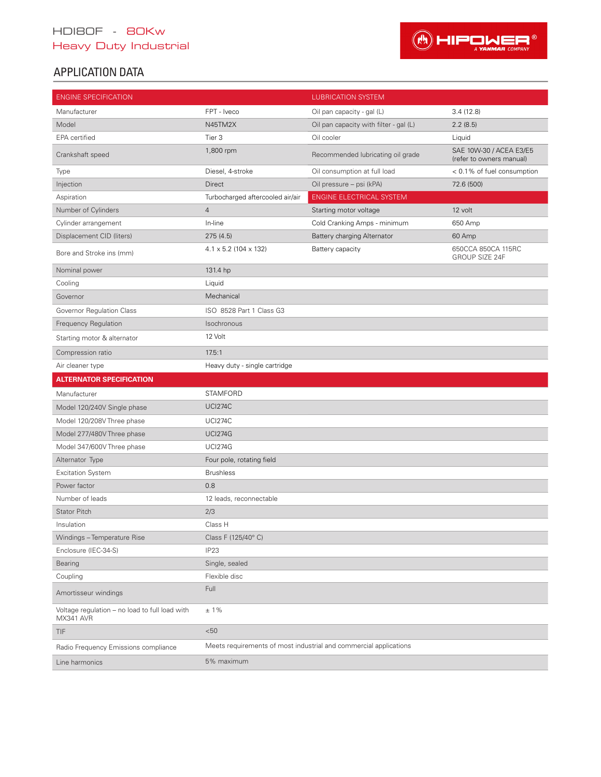## HDI80F - 80Kw Heavy Duty Industrial



## APPLICATION DATA

| <b>ENGINE SPECIFICATION</b>                                 |                                     | <b>LUBRICATION SYSTEM</b>                                         |                                                     |  |  |  |  |  |
|-------------------------------------------------------------|-------------------------------------|-------------------------------------------------------------------|-----------------------------------------------------|--|--|--|--|--|
| Manufacturer                                                | FPT - Iveco                         | Oil pan capacity - gal (L)                                        | 3.4(12.8)                                           |  |  |  |  |  |
| Model                                                       | N45TM2X                             | Oil pan capacity with filter - gal (L)                            | 2.2(8.5)                                            |  |  |  |  |  |
| EPA certified                                               | Tier <sub>3</sub>                   | Oil cooler                                                        | Liquid                                              |  |  |  |  |  |
| Crankshaft speed                                            | 1,800 rpm                           | Recommended lubricating oil grade                                 | SAE 10W-30 / ACEA E3/E5<br>(refer to owners manual) |  |  |  |  |  |
| Type                                                        | Diesel, 4-stroke                    | Oil consumption at full load                                      | < 0.1% of fuel consumption                          |  |  |  |  |  |
| Injection                                                   | Direct                              | Oil pressure - psi (kPA)                                          | 72.6 (500)                                          |  |  |  |  |  |
| Aspiration                                                  | Turbocharged aftercooled air/air    | ENGINE ELECTRICAL SYSTEM                                          |                                                     |  |  |  |  |  |
| Number of Cylinders                                         | $\overline{4}$                      | Starting motor voltage                                            | 12 volt                                             |  |  |  |  |  |
| Cylinder arrangement                                        | In-line                             | Cold Cranking Amps - minimum                                      | 650 Amp                                             |  |  |  |  |  |
| Displacement CID (liters)                                   | 275(4.5)                            | Battery charging Alternator                                       | 60 Amp                                              |  |  |  |  |  |
| Bore and Stroke ins (mm)                                    | $4.1 \times 5.2$ (104 $\times$ 132) | Battery capacity                                                  | 650CCA 850CA 115RC<br>GROUP SIZE 24F                |  |  |  |  |  |
| Nominal power                                               | 131.4 hp                            |                                                                   |                                                     |  |  |  |  |  |
| Cooling                                                     | Liquid                              |                                                                   |                                                     |  |  |  |  |  |
| Governor                                                    | Mechanical                          |                                                                   |                                                     |  |  |  |  |  |
| Governor Regulation Class                                   | ISO 8528 Part 1 Class G3            |                                                                   |                                                     |  |  |  |  |  |
| Frequency Regulation                                        | Isochronous                         |                                                                   |                                                     |  |  |  |  |  |
| Starting motor & alternator                                 | 12 Volt                             |                                                                   |                                                     |  |  |  |  |  |
| Compression ratio                                           | 17.5:1                              |                                                                   |                                                     |  |  |  |  |  |
| Air cleaner type                                            | Heavy duty - single cartridge       |                                                                   |                                                     |  |  |  |  |  |
| <b>ALTERNATOR SPECIFICATION</b>                             |                                     |                                                                   |                                                     |  |  |  |  |  |
| Manufacturer                                                | <b>STAMFORD</b>                     |                                                                   |                                                     |  |  |  |  |  |
| Model 120/240V Single phase                                 | <b>UCI274C</b>                      |                                                                   |                                                     |  |  |  |  |  |
| Model 120/208V Three phase                                  | <b>UCI274C</b>                      |                                                                   |                                                     |  |  |  |  |  |
| Model 277/480V Three phase                                  | <b>UCI274G</b>                      |                                                                   |                                                     |  |  |  |  |  |
| Model 347/600V Three phase                                  | <b>UCI274G</b>                      |                                                                   |                                                     |  |  |  |  |  |
| Alternator Type                                             | Four pole, rotating field           |                                                                   |                                                     |  |  |  |  |  |
| <b>Excitation System</b>                                    | <b>Brushless</b>                    |                                                                   |                                                     |  |  |  |  |  |
| Power factor                                                | 0.8                                 |                                                                   |                                                     |  |  |  |  |  |
| Number of leads                                             | 12 leads, reconnectable             |                                                                   |                                                     |  |  |  |  |  |
| <b>Stator Pitch</b>                                         | 2/3                                 |                                                                   |                                                     |  |  |  |  |  |
| Insulation                                                  | Class H                             |                                                                   |                                                     |  |  |  |  |  |
| Windings - Temperature Rise                                 | Class F (125/40°C)                  |                                                                   |                                                     |  |  |  |  |  |
| Enclosure (IEC-34-S)                                        | IP <sub>23</sub>                    |                                                                   |                                                     |  |  |  |  |  |
| Bearing                                                     | Single, sealed                      |                                                                   |                                                     |  |  |  |  |  |
| Coupling                                                    | Flexible disc                       |                                                                   |                                                     |  |  |  |  |  |
| Amortisseur windings                                        | Full                                |                                                                   |                                                     |  |  |  |  |  |
| Voltage regulation – no load to full load with<br>MX341 AVR | $±1\%$                              |                                                                   |                                                     |  |  |  |  |  |
| <b>TIF</b>                                                  | < 50                                |                                                                   |                                                     |  |  |  |  |  |
| Radio Frequency Emissions compliance                        |                                     | Meets requirements of most industrial and commercial applications |                                                     |  |  |  |  |  |
| Line harmonics                                              | 5% maximum                          |                                                                   |                                                     |  |  |  |  |  |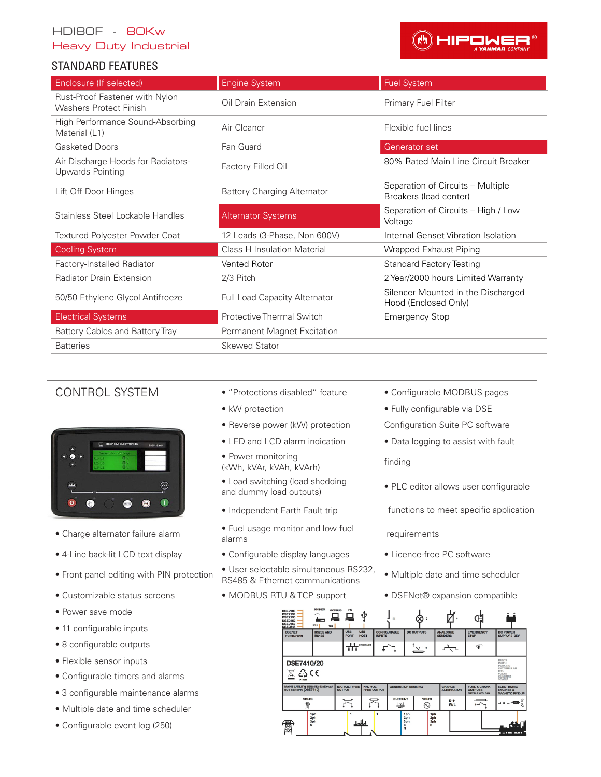### HDI80F - 80Kw

### Heavy Duty Industrial

### STANDARD FEATURES



| Enclosure (If selected)                                         | <b>Engine System</b>               | <b>Fuel System</b>                                          |
|-----------------------------------------------------------------|------------------------------------|-------------------------------------------------------------|
| Rust-Proof Fastener with Nylon<br><b>Washers Protect Finish</b> | Oil Drain Extension                | Primary Fuel Filter                                         |
| High Performance Sound-Absorbing<br>Material (L1)               | Air Cleaner                        | Flexible fuel lines                                         |
| <b>Gasketed Doors</b>                                           | Fan Guard                          | Generator set                                               |
| Air Discharge Hoods for Radiators-<br>Upwards Pointing          | Factory Filled Oil                 | 80% Rated Main Line Circuit Breaker                         |
| Lift Off Door Hinges                                            | <b>Battery Charging Alternator</b> | Separation of Circuits - Multiple<br>Breakers (load center) |
| Stainless Steel Lockable Handles                                | <b>Alternator Systems</b>          | Separation of Circuits - High / Low<br>Voltage              |
| Textured Polyester Powder Coat                                  | 12 Leads (3-Phase, Non 600V)       | Internal Genset Vibration Isolation                         |
| <b>Cooling System</b>                                           | <b>Class H Insulation Material</b> | Wrapped Exhaust Piping                                      |
| Factory-Installed Radiator                                      | Vented Rotor                       | <b>Standard Factory Testing</b>                             |
| <b>Radiator Drain Extension</b>                                 | 2/3 Pitch                          | 2 Year/2000 hours Limited Warranty                          |
| 50/50 Ethylene Glycol Antifreeze                                | Full Load Capacity Alternator      | Silencer Mounted in the Discharged<br>Hood (Enclosed Only)  |
| <b>Electrical Systems</b>                                       | Protective Thermal Switch          | <b>Emergency Stop</b>                                       |
| Battery Cables and Battery Tray                                 | Permanent Magnet Excitation        |                                                             |
| <b>Batteries</b>                                                | <b>Skewed Stator</b>               |                                                             |



- Charge alternator failure alarm Fuel use monitor and low fuel use of  $\frac{1}{\text{N}}$
- 
- 
- 
- Power save mode
- 11 configurable inputs
- 8 configurable outputs
- Flexible sensor inputs
- Configurable timers and alarms
- 3 configurable maintenance alarms
- Multiple date and time scheduler
- Configurable event log (250)
- CONTROL SYSTEM "Protections disabled" feature Configurable MODBUS pages
	-
	- Reverse power (kW) protection Configuration Suite PC software
	-
	- Power monitoring (kWh, kVAr, kVAh, kVArh) finding
	- Load switching (load shedding • Load switching load shedding<br>and dummy load outputs) • PLC editor allows user configurable
	-
	- Fuel usage monitor and low fuel<br>
	requirements
- 4-Line back-lit LCD text display Configurable display languages Licence-free PC software
- Front panel editing with PIN protection User selectable simultaneous RS232, • Oser selectable simultatie ous 10202, • Multiple date and time scheduler RS485 & Ethernet communications
	-
- 
- kW protection Fully configurable via DSE
	-
- LED and LCD alarm indication Data logging to assist with fault

- 
- Independent Earth Fault trip functions to meet specific application

- 
- 
- Customizable status screens MODBUS RTU & TCP support DSENet® expansion compatible

| <b>DSE2130</b><br><b>DSE2131</b><br><b>DSE2133</b><br><b>DSE2152</b><br><b>DSE2157</b><br><b>DSE2548</b>                                                     | ę<br>m<br>232<br>485                           | <b>MODBUS</b><br>--                   |                                            | X)<br>11                           |                                                |                                   |                                                                       |                                                                      |  |  |  |
|--------------------------------------------------------------------------------------------------------------------------------------------------------------|------------------------------------------------|---------------------------------------|--------------------------------------------|------------------------------------|------------------------------------------------|-----------------------------------|-----------------------------------------------------------------------|----------------------------------------------------------------------|--|--|--|
| <b>DSENET</b><br><b>EXPANSION</b>                                                                                                                            | <b>RS232 AND</b><br><b>RS485</b>               | <b>USB</b><br><b>PORT</b>             | <b>USB</b><br><b>HOST</b><br><b>INPUTS</b> | <b>CONFIGURABLE</b>                | <b>DC OUTPUTS</b>                              | <b>ANALOGUE</b><br><b>SENDERS</b> | <b>EMERGENCY</b><br><b>STOP</b>                                       | <b>DC POWER</b><br>SUPPLY 8-35V                                      |  |  |  |
|                                                                                                                                                              |                                                | <br>╥                                 | <b>ETHERNET</b>                            |                                    |                                                |                                   | ൳                                                                     |                                                                      |  |  |  |
| DEUTZ<br><b>DSE7410/20</b><br><b>ISUZU</b><br>PERKINS<br>CATERPILLAR<br>∆c∈<br><b>MTU</b><br><b>VOLVO</b><br><b>CUMMINS</b><br><b>SCANIA</b><br><b>OTHER</b> |                                                |                                       |                                            |                                    |                                                |                                   |                                                                       |                                                                      |  |  |  |
| MAINS (UTILITY) SENSING (DSE7420)<br><b>BUS SENSING (DSE7410)</b>                                                                                            |                                                | <b>N/C VOLT FREE</b><br><b>OUTPUT</b> | N/O VOLT<br><b>FREE OUTPUT</b>             | <b>GENERATOR SENSING</b>           |                                                | CHARGE<br><b>ALTERNATOR</b>       | <b>FUEL &amp; CRANK</b><br><b>OUTPUTS</b><br><b>FLEXIBLE WITH CAN</b> | <b>ELECTRONIC</b><br><b>ENGINES &amp;</b><br><b>MAGNETIC PICK-UP</b> |  |  |  |
| <b>VOLTS</b><br>雷                                                                                                                                            |                                                |                                       |                                            | <b>CURRENT</b><br>$\circ$          | <b>VOLTS</b><br>∾                              | $D +$<br>W/L                      | `د                                                                    | <b>_nn_</b> ≉⊠on2                                                    |  |  |  |
|                                                                                                                                                              | 1 <sub>ph</sub><br>2 <sub>ph</sub><br>3ph<br>N |                                       |                                            | 1 <sub>ph</sub><br>2ph<br>3ph<br>E | 1 <sub>ph</sub><br>2 <sub>ph</sub><br>3ph<br>N |                                   |                                                                       |                                                                      |  |  |  |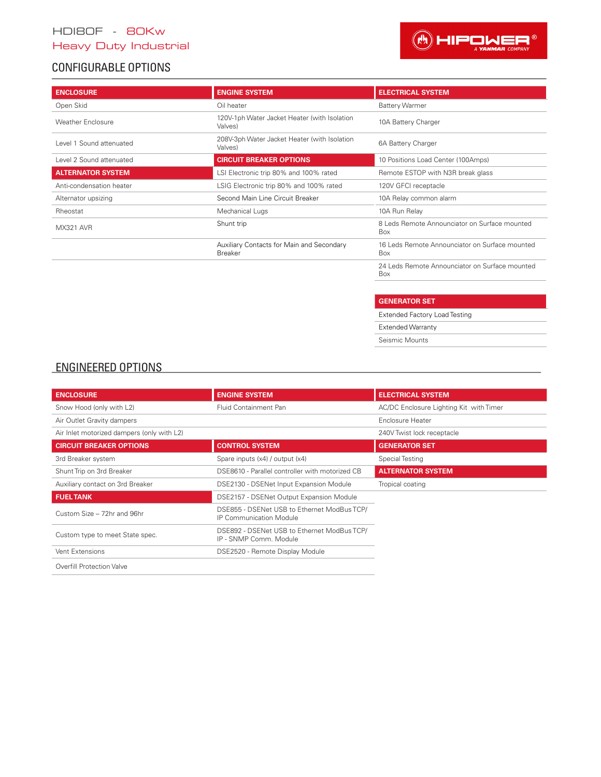## HDI80F - 80Kw

## Heavy Duty Industrial

## CONFIGURABLE OPTIONS



| <b>ENCLOSURE</b>         | <b>ENGINE SYSTEM</b>                                        | <b>ELECTRICAL SYSTEM</b>                              |  |  |  |
|--------------------------|-------------------------------------------------------------|-------------------------------------------------------|--|--|--|
| Open Skid                | Oil heater                                                  | <b>Battery Warmer</b>                                 |  |  |  |
| <b>Weather Enclosure</b> | 120V-1ph Water Jacket Heater (with Isolation<br>Valves)     | 10A Battery Charger                                   |  |  |  |
| Level 1 Sound attenuated | 208V-3ph Water Jacket Heater (with Isolation<br>Valves)     | 6A Battery Charger                                    |  |  |  |
| Level 2 Sound attenuated | <b>CIRCUIT BREAKER OPTIONS</b>                              | 10 Positions Load Center (100Amps)                    |  |  |  |
| <b>ALTERNATOR SYSTEM</b> | LSI Electronic trip 80% and 100% rated                      | Remote ESTOP with N3R break glass                     |  |  |  |
| Anti-condensation heater | LSIG Electronic trip 80% and 100% rated                     | 120V GFCI receptacle                                  |  |  |  |
| Alternator upsizing      | Second Main Line Circuit Breaker                            | 10A Relay common alarm                                |  |  |  |
| Rheostat                 | Mechanical Lugs                                             | 10A Run Relay                                         |  |  |  |
| MX321 AVR                | Shunt trip                                                  | 8 Leds Remote Announciator on Surface mounted<br>Box  |  |  |  |
|                          | Auxiliary Contacts for Main and Secondary<br><b>Breaker</b> | 16 Leds Remote Announciator on Surface mounted<br>Box |  |  |  |
|                          |                                                             | 24 Leds Remote Announciator on Surface mounted        |  |  |  |

| <b>GENERATOR SET</b>                 |
|--------------------------------------|
| <b>Extended Factory Load Testing</b> |
| <b>Extended Warranty</b>             |
| Seismic Mounts                       |

Box

I

### ENGINEERED OPTIONS

| <b>ENCLOSURE</b>                           | <b>ENGINE SYSTEM</b>                                                          | <b>ELECTRICAL SYSTEM</b>                |
|--------------------------------------------|-------------------------------------------------------------------------------|-----------------------------------------|
| Snow Hood (only with L2)                   | Fluid Containment Pan                                                         | AC/DC Enclosure Lighting Kit with Timer |
| Air Outlet Gravity dampers                 |                                                                               | Enclosure Heater                        |
| Air Inlet motorized dampers (only with L2) |                                                                               | 240V Twist lock receptacle              |
| <b>CIRCUIT BREAKER OPTIONS</b>             | <b>CONTROL SYSTEM</b>                                                         | <b>GENERATOR SET</b>                    |
| 3rd Breaker system                         | Spare inputs (x4) / output (x4)                                               | Special Testing                         |
| Shunt Trip on 3rd Breaker                  | DSE8610 - Parallel controller with motorized CB                               | <b>ALTERNATOR SYSTEM</b>                |
| Auxiliary contact on 3rd Breaker           | DSE2130 - DSENet Input Expansion Module                                       | Tropical coating                        |
| <b>FUEL TANK</b>                           | DSE2157 - DSENet Output Expansion Module                                      |                                         |
| Custom Size - 72hr and 96hr                | DSE855 - DSENet USB to Ethernet ModBus TCP/<br><b>IP Communication Module</b> |                                         |
| Custom type to meet State spec.            | DSE892 - DSENet USB to Ethernet ModBus TCP/<br>IP - SNMP Comm. Module         |                                         |
| Vent Extensions                            | DSE2520 - Remote Display Module                                               |                                         |
| Overfill Protection Valve                  |                                                                               |                                         |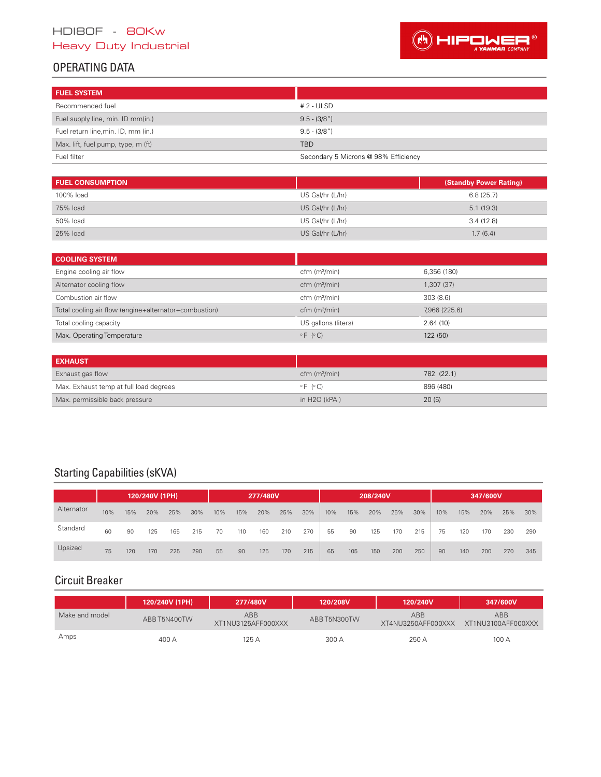## HDI80F - 80Kw

## Heavy Duty Industrial



## OPERATING DATA

| <b>FUEL SYSTEM</b>                  |                                      |
|-------------------------------------|--------------------------------------|
| Recommended fuel                    | $# 2 - ULSD$                         |
| Fuel supply line, min. ID mm(in.)   | $9.5 - (3/8")$                       |
| Fuel return line, min. ID, mm (in.) | $9.5 - (3/8")$                       |
| Max. lift, fuel pump, type, m (ft)  | <b>TBD</b>                           |
| Fuel filter                         | Secondary 5 Microns @ 98% Efficiency |

| <b>FUEL CONSUMPTION</b> |                  | (Standby Power Rating) |
|-------------------------|------------------|------------------------|
| 100% load               | US Gal/hr (L/hr) | 6.8(25.7)              |
| 75% load                | US Gal/hr (L/hr) | 5.1(19.3)              |
| 50% load                | US Gal/hr (L/hr) | 3.4(12.8)              |
| 25% load                | US Gal/hr (L/hr) | 1.7(6.4)               |

| <b>COOLING SYSTEM</b>                                 |                        |               |
|-------------------------------------------------------|------------------------|---------------|
| Engine cooling air flow                               | $cfm$ ( $m3/min$ )     | 6.356 (180)   |
| Alternator cooling flow                               | $cfm$ ( $m3/min$ )     | 1,307 (37)    |
| Combustion air flow                                   | $cfm$ ( $m3/min$ )     | 303(8.6)      |
| Total cooling air flow (engine+alternator+combustion) | $cfm$ ( $m3/min$ )     | 7,966 (225.6) |
| Total cooling capacity                                | US gallons (liters)    | 2.64(10)      |
| Max. Operating Temperature                            | $\circ$ F ( $\circ$ C) | 122 (50)      |

| <b>EXHAUST</b>                         |                        |            |
|----------------------------------------|------------------------|------------|
| Exhaust gas flow                       | $cfm$ ( $m3/min$ )     | 782 (22.1) |
| Max. Exhaust temp at full load degrees | $\circ$ F ( $\circ$ C) | 896 (480)  |
| Max. permissible back pressure         | in $H2O$ (kPA)         | 20(5)      |

# Starting Capabilities (sKVA)

|            | 120/240V (1PH) |     |     |     |     | 277/480V |     |     |     |     |     |     | 208/240V |     |     |     |     | 347/600V |     |     |
|------------|----------------|-----|-----|-----|-----|----------|-----|-----|-----|-----|-----|-----|----------|-----|-----|-----|-----|----------|-----|-----|
| Alternator | 10%            | 15% | 20% | 25% | 30% | 10%      | 15% | 20% | 25% | 30% | 10% | 15% | 20%      | 25% | 30% | 10% | 15% | 20%      | 25% | 30% |
| Standard   | 60             | 90  | 125 | 165 | 215 | 70       | 110 | 160 | 210 | 270 | 55  | 90  | 125      | 170 | 215 | 75  | 120 | 170      | 230 | 290 |
| Upsized    | 75             | 120 | 170 | 225 | 290 | 55       | 90  | 125 | 170 | 215 | 65  | 105 | 150      | 200 | 250 | 90  | 140 | 200      | 270 | 345 |

## Circuit Breaker

|                | 120/240V (1PH) | 277/480V                  | 120/208V     | 120/240V                         | 347/600V                         |
|----------------|----------------|---------------------------|--------------|----------------------------------|----------------------------------|
| Make and model | ABB T5N400TW   | ABB<br>XT1NU3125AFF000XXX | ABB T5N300TW | <b>ABB</b><br>XT4NU3250AFF000XXX | <b>ABB</b><br>XT1NU3100AFF000XXX |
| Amps           | 400 A          | 125 A                     | 300 A        | 250 A                            | 100 A                            |